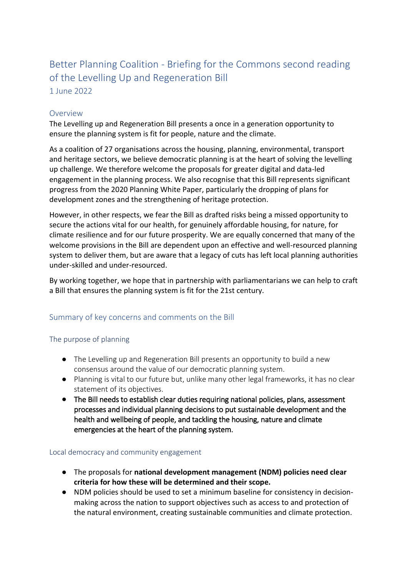# Better Planning Coalition - Briefing for the Commons second reading of the Levelling Up and Regeneration Bill

1 June 2022

# Overview

The Levelling up and Regeneration Bill presents a once in a generation opportunity to ensure the planning system is fit for people, nature and the climate.

As a coalition of 27 organisations across the housing, planning, environmental, transport and heritage sectors, we believe democratic planning is at the heart of solving the levelling up challenge. We therefore welcome the proposals for greater digital and data-led engagement in the planning process. We also recognise that this Bill represents significant progress from the 2020 Planning White Paper, particularly the dropping of plans for development zones and the strengthening of heritage protection.

However, in other respects, we fear the Bill as drafted risks being a missed opportunity to secure the actions vital for our health, for genuinely affordable housing, for nature, for climate resilience and for our future prosperity. We are equally concerned that many of the welcome provisions in the Bill are dependent upon an effective and well-resourced planning system to deliver them, but are aware that a legacy of cuts has left local planning authorities under-skilled and under-resourced.

By working together, we hope that in partnership with parliamentarians we can help to craft a Bill that ensures the planning system is fit for the 21st century.

# Summary of key concerns and comments on the Bill

# The purpose of planning

- The Levelling up and Regeneration Bill presents an opportunity to build a new consensus around the value of our democratic planning system.
- Planning is vital to our future but, unlike many other legal frameworks, it has no clear statement of its objectives.
- The Bill needs to establish clear duties requiring national policies, plans, assessment processes and individual planning decisions to put sustainable development and the health and wellbeing of people, and tackling the housing, nature and climate emergencies at the heart of the planning system.

# Local democracy and community engagement

- The proposals for **national development management (NDM) policies need clear criteria for how these will be determined and their scope.**
- NDM policies should be used to set a minimum baseline for consistency in decisionmaking across the nation to support objectives such as access to and protection of the natural environment, creating sustainable communities and climate protection.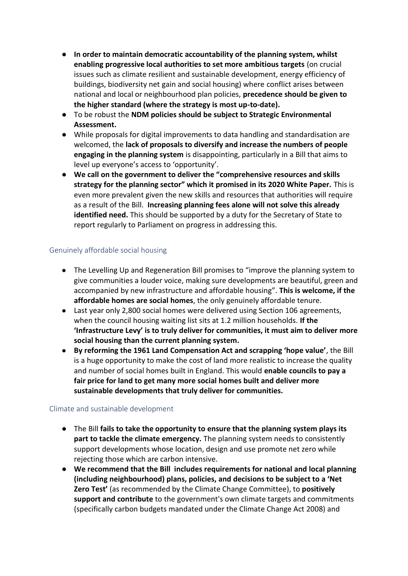- **In order to maintain democratic accountability of the planning system, whilst enabling progressive local authorities to set more ambitious targets** (on crucial issues such as climate resilient and sustainable development, energy efficiency of buildings, biodiversity net gain and social housing) where conflict arises between national and local or neighbourhood plan policies, **precedence should be given to the higher standard (where the strategy is most up-to-date).**
- To be robust the **NDM policies should be subject to Strategic Environmental Assessment.**
- While proposals for digital improvements to data handling and standardisation are welcomed, the **lack of proposals to diversify and increase the numbers of people engaging in the planning system** is disappointing, particularly in a Bill that aims to level up everyone's access to 'opportunity'.
- **We call on the government to deliver the "comprehensive resources and skills strategy for the planning sector" which it promised in its 2020 White Paper.** This is even more prevalent given the new skills and resources that authorities will require as a result of the Bill. **Increasing planning fees alone will not solve this already identified need.** This should be supported by a duty for the Secretary of State to report regularly to Parliament on progress in addressing this.

### Genuinely affordable social housing

- The Levelling Up and Regeneration Bill promises to "improve the planning system to give communities a louder voice, making sure developments are beautiful, green and accompanied by new infrastructure and affordable housing". **This is welcome, if the affordable homes are social homes**, the only genuinely affordable tenure.
- Last year only 2,800 social homes were delivered using Section 106 agreements, when the council housing waiting list sits at 1.2 million households. **If the 'Infrastructure Levy' is to truly deliver for communities, it must aim to deliver more social housing than the current planning system.**
- **By reforming the 1961 Land Compensation Act and scrapping 'hope value'**, the Bill is a huge opportunity to make the cost of land more realistic to increase the quality and number of social homes built in England. This would **enable councils to pay a fair price for land to get many more social homes built and deliver more sustainable developments that truly deliver for communities.**

#### Climate and sustainable development

- The Bill **fails to take the opportunity to ensure that the planning system plays its part to tackle the climate emergency.** The planning system needs to consistently support developments whose location, design and use promote net zero while rejecting those which are carbon intensive.
- **We recommend that the Bill includes requirements for national and local planning (including neighbourhood) plans, policies, and decisions to be subject to a 'Net Zero Test'** (as recommended by the Climate Change Committee), to **positively support and contribute** to the government's own climate targets and commitments (specifically carbon budgets mandated under the Climate Change Act 2008) and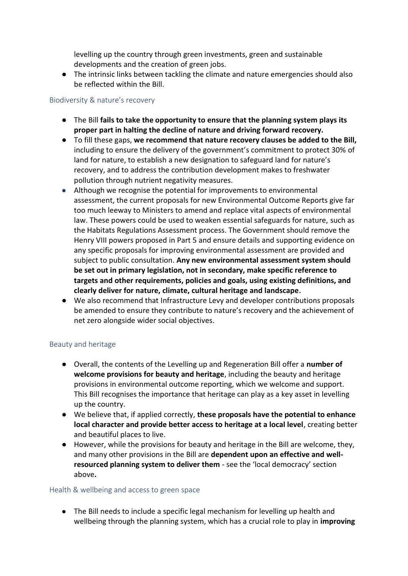levelling up the country through green investments, green and sustainable developments and the creation of green jobs.

● The intrinsic links between tackling the climate and nature emergencies should also be reflected within the Bill.

## Biodiversity & nature's recovery

- The Bill **fails to take the opportunity to ensure that the planning system plays its proper part in halting the decline of nature and driving forward recovery.**
- To fill these gaps, **we recommend that nature recovery clauses be added to the Bill,**  including to ensure the delivery of the government's commitment to protect 30% of land for nature, to establish a new designation to safeguard land for nature's recovery, and to address the contribution development makes to freshwater pollution through nutrient negativity measures.
- Although we recognise the potential for improvements to environmental assessment, the current proposals for new Environmental Outcome Reports give far too much leeway to Ministers to amend and replace vital aspects of environmental law. These powers could be used to weaken essential safeguards for nature, such as the Habitats Regulations Assessment process. The Government should remove the Henry VIII powers proposed in Part 5 and ensure details and supporting evidence on any specific proposals for improving environmental assessment are provided and subject to public consultation. **Any new environmental assessment system should be set out in primary legislation, not in secondary, make specific reference to targets and other requirements, policies and goals, using existing definitions, and clearly deliver for nature, climate, cultural heritage and landscape.**
- We also recommend that Infrastructure Levy and developer contributions proposals be amended to ensure they contribute to nature's recovery and the achievement of net zero alongside wider social objectives.

# Beauty and heritage

- Overall, the contents of the Levelling up and Regeneration Bill offer a **number of welcome provisions for beauty and heritage**, including the beauty and heritage provisions in environmental outcome reporting, which we welcome and support. This Bill recognises the importance that heritage can play as a key asset in levelling up the country.
- We believe that, if applied correctly, **these proposals have the potential to enhance local character and provide better access to heritage at a local level**, creating better and beautiful places to live.
- However, while the provisions for beauty and heritage in the Bill are welcome, they, and many other provisions in the Bill are **dependent upon an effective and wellresourced planning system to deliver them** - see the 'local democracy' section above**.**

#### Health & wellbeing and access to green space

● The Bill needs to include a specific legal mechanism for levelling up health and wellbeing through the planning system, which has a crucial role to play in **improving**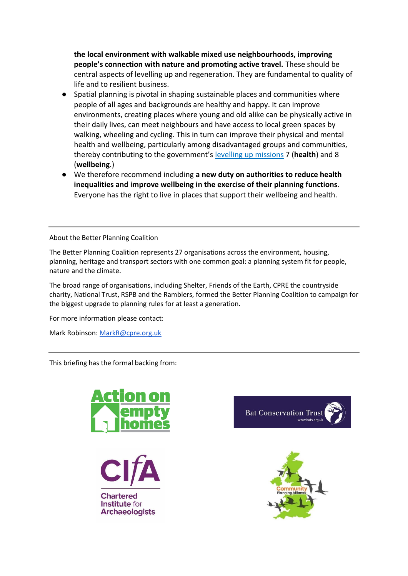**the local environment with walkable mixed use neighbourhoods, improving people's connection with nature and promoting active travel.** These should be central aspects of levelling up and regeneration. They are fundamental to quality of life and to resilient business.

- Spatial planning is pivotal in shaping sustainable places and communities where people of all ages and backgrounds are healthy and happy. It can improve environments, creating places where young and old alike can be physically active in their daily lives, can meet neighbours and have access to local green spaces by walking, wheeling and cycling. This in turn can improve their physical and mental health and wellbeing, particularly among disadvantaged groups and communities, thereby contributing to the government'[s](https://eur01.safelinks.protection.outlook.com/?url=https%3A%2F%2Fwww.gov.uk%2Fgovernment%2Fnews%2Fgovernment-unveils-levelling-up-plan-that-will-transform-uk&data=05%7C01%7Croger.geffen%40cyclinguk.org%7C880d17fc66c242f89a7a08da3fd95464%7Cda6b1118d522464c91ae44ffddc646d5%7C0%7C0%7C637892500276470870%7CUnknown%7CTWFpbGZsb3d8eyJWIjoiMC4wLjAwMDAiLCJQIjoiV2luMzIiLCJBTiI6Ik1haWwiLCJXVCI6Mn0%3D%7C3000%7C%7C%7C&sdata=JMnFQPjdbltvASpHbqBvSaO25oNEensRrtbuTpTFw2w%3D&reserved=0) [levelling up missions](https://eur01.safelinks.protection.outlook.com/?url=https%3A%2F%2Fwww.gov.uk%2Fgovernment%2Fnews%2Fgovernment-unveils-levelling-up-plan-that-will-transform-uk&data=05%7C01%7Croger.geffen%40cyclinguk.org%7C880d17fc66c242f89a7a08da3fd95464%7Cda6b1118d522464c91ae44ffddc646d5%7C0%7C0%7C637892500276470870%7CUnknown%7CTWFpbGZsb3d8eyJWIjoiMC4wLjAwMDAiLCJQIjoiV2luMzIiLCJBTiI6Ik1haWwiLCJXVCI6Mn0%3D%7C3000%7C%7C%7C&sdata=JMnFQPjdbltvASpHbqBvSaO25oNEensRrtbuTpTFw2w%3D&reserved=0) 7 (**health**) and 8 (**wellbeing**.)
- We therefore recommend including **a new duty on authorities to reduce health inequalities and improve wellbeing in the exercise of their planning functions**. Everyone has the right to live in places that support their wellbeing and health.

About the Better Planning Coalition

The Better Planning Coalition represents 27 organisations across the environment, housing, planning, heritage and transport sectors with one common goal: a planning system fit for people, nature and the climate.

The broad range of organisations, including Shelter, Friends of the Earth, CPRE the countryside charity, National Trust, RSPB and the Ramblers, formed the Better Planning Coalition to campaign for the biggest upgrade to planning rules for at least a generation.

For more information please contact:

Mark Robinson: [MarkR@cpre.org.uk](mailto:MarkR@cpre.org.uk)

This briefing has the formal backing from:



**Chartered** Institute for **Archaeologists** 



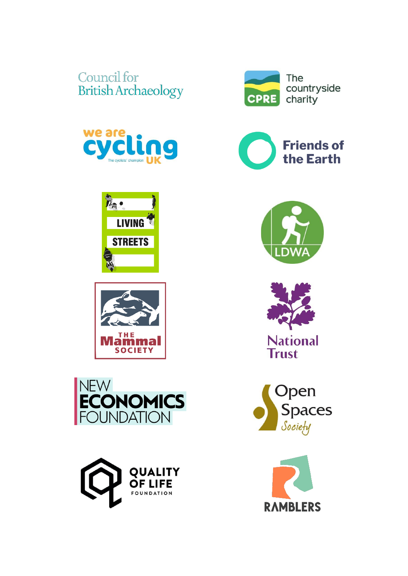# Council for **British Archaeology**